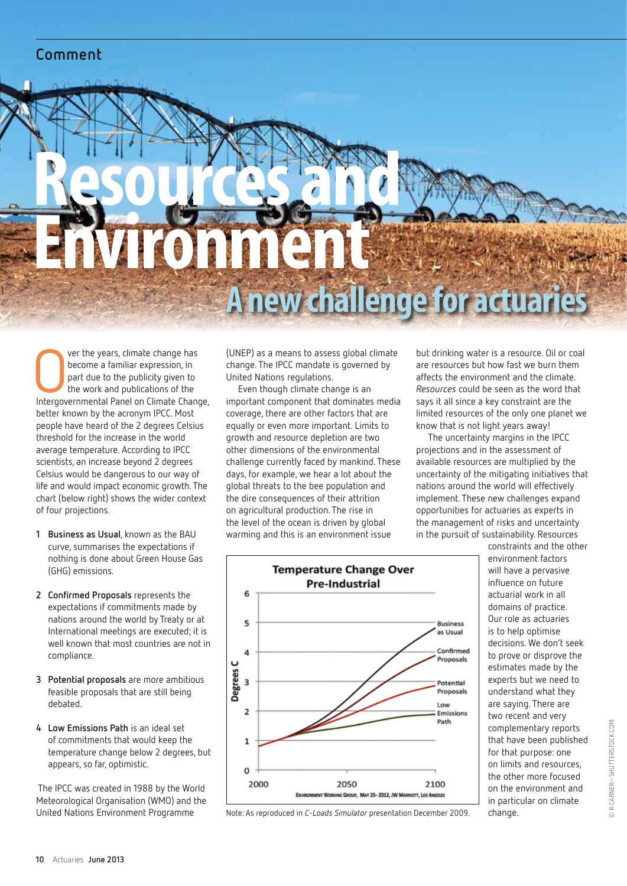# **Comment**

# Resources and Environment **A new challenge for actuar**

Ver the years, climate change has<br>become a familiar expression, in<br>part due to the publicity given to<br>the work and publications of the<br>Intergovernmental Panel on Climate Change, ver the years, climate change has become a familiar expression, in part due to the publicity given to the work and publications of the better known by the acronym IPCC. Most people have heard of the 2 degrees Celsius threshold for the increase in the world average temperature. According to IPCC scientists, an increase beyond 2 degrees Celsius would be dangerous to our way of life and would impact economic growth. The chart (below right) shows the wider context of four projections.

- **1 Business as Usual**, known as the BAU curve, summarises the expectations if nothing is done about Green House Gas (GHG) emissions.
- **2 Confirmed Proposals** represents the expectations if commitments made by nations around the world by Treaty or at International meetings are executed; it is well known that most countries are not in compliance.
- **3 Potential proposals** are more ambitious feasible proposals that are still being debated.
- **4 Low Emissions Path** is an ideal set of commitments that would keep the temperature change below 2 degrees, but appears, so far, optimistic.

 The IPCC was created in 1988 by the World Meteorological Organisation (WMO) and the United Nations Environment Programme

(UNEP) as a means to assess global climate change. The IPCC mandate is governed by United Nations regulations.

Even though climate change is an important component that dominates media coverage, there are other factors that are equally or even more important. Limits to growth and resource depletion are two other dimensions of the environmental challenge currently faced by mankind. These days, for example, we hear a lot about the global threats to the bee population and the dire consequences of their attrition on agricultural production. The rise in the level of the ocean is driven by global warming and this is an environment issue

but drinking water is a resource. Oil or coal are resources but how fast we burn them affects the environment and the climate. *Resources* could be seen as the word that says it all since a key constraint are the limited resources of the only one planet we know that is not light years away!

The uncertainty margins in the IPCC projections and in the assessment of available resources are multiplied by the uncertainty of the mitigating initiatives that nations around the world will effectively implement. These new challenges expand opportunities for actuaries as experts in the management of risks and uncertainty in the pursuit of sustainability. Resources constraints and the other

change.

environment factors will have a pervasive influence on future actuarial work in all domains of practice. Our role as actuaries is to help optimise decisions. We don't seek to prove or disprove the estimates made by the experts but we need to understand what they are saying. There are two recent and very complementary reports that have been published for that purpose: one on limits and resources, the other more focused on the environment and in particular on climate



Note: As reproduced in *C-Loads Simulator* presentation December 2009.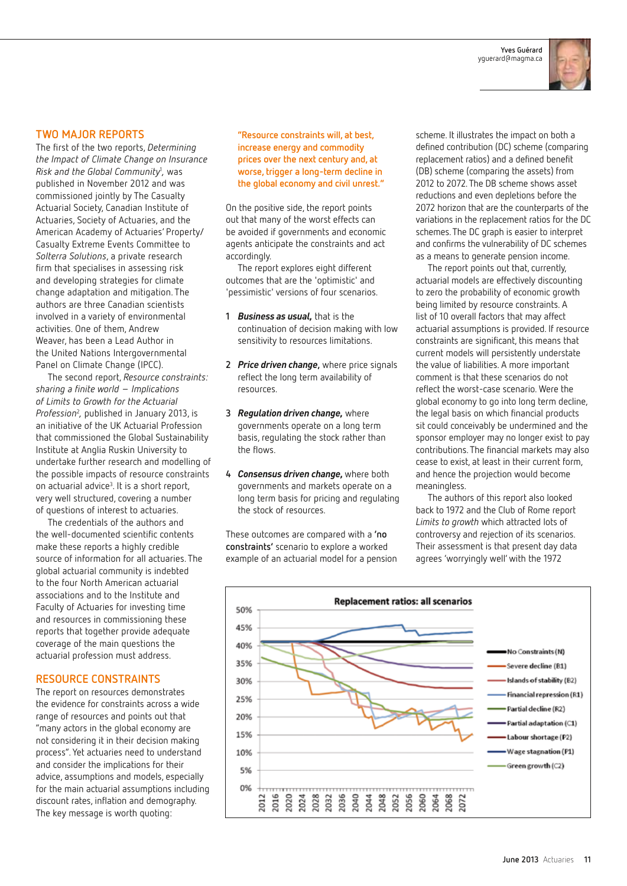**Yves Guérard** yguerard@magma.ca



## **Two major reports**

The first of the two reports, *Determining the Impact of Climate Change on Insurance Risk and the Global Community*<sup>1</sup> *,* was published in November 2012 and was commissioned jointly by The Casualty Actuarial Society, Canadian Institute of Actuaries, Society of Actuaries, and the American Academy of Actuaries' Property/ Casualty Extreme Events Committee to *Solterra Solutions*, a private research firm that specialises in assessing risk and developing strategies for climate change adaptation and mitigation. The authors are three Canadian scientists involved in a variety of environmental activities. One of them, Andrew Weaver, has been a Lead Author in the United Nations Intergovernmental Panel on Climate Change (IPCC).

The second report, *Resource constraints: sharing a finite world – Implications of Limits to Growth for the Actuarial*  Profession<sup>2</sup>, published in January 2013, is an initiative of the UK Actuarial Profession that commissioned the Global Sustainability Institute at Anglia Ruskin University to undertake further research and modelling of the possible impacts of resource constraints on actuarial advice<sup>3</sup>. It is a short report, very well structured, covering a number of questions of interest to actuaries.

The credentials of the authors and the well-documented scientific contents make these reports a highly credible source of information for all actuaries. The global actuarial community is indebted to the four North American actuarial associations and to the Institute and Faculty of Actuaries for investing time and resources in commissioning these reports that together provide adequate coverage of the main questions the actuarial profession must address.

#### **Resource constraints**

The report on resources demonstrates the evidence for constraints across a wide range of resources and points out that "many actors in the global economy are not considering it in their decision making process". Yet actuaries need to understand and consider the implications for their advice, assumptions and models, especially for the main actuarial assumptions including discount rates, inflation and demography. The key message is worth quoting:

**"Resource constraints will, at best, increase energy and commodity prices over the next century and, at worse, trigger a long-term decline in the global economy and civil unrest."**

On the positive side, the report points out that many of the worst effects can be avoided if governments and economic agents anticipate the constraints and act accordingly.

The report explores eight different outcomes that are the 'optimistic' and 'pessimistic' versions of four scenarios.

- **1** *Business as usual,* that is the continuation of decision making with low sensitivity to resources limitations.
- **2** *Price driven change***,** where price signals reflect the long term availability of resources.
- **3** *Regulation driven change,* where governments operate on a long term basis, regulating the stock rather than the flows.
- **4** *Consensus driven change,* where both governments and markets operate on a long term basis for pricing and regulating the stock of resources.

These outcomes are compared with a **'no constraints'** scenario to explore a worked example of an actuarial model for a pension scheme. It illustrates the impact on both a defined contribution (DC) scheme (comparing replacement ratios) and a defined benefit (DB) scheme (comparing the assets) from 2012 to 2072. The DB scheme shows asset reductions and even depletions before the 2072 horizon that are the counterparts of the variations in the replacement ratios for the DC schemes. The DC graph is easier to interpret and confirms the vulnerability of DC schemes as a means to generate pension income.

The report points out that, currently, actuarial models are effectively discounting to zero the probability of economic growth being limited by resource constraints. A list of 10 overall factors that may affect actuarial assumptions is provided. If resource constraints are significant, this means that current models will persistently understate the value of liabilities. A more important comment is that these scenarios do not reflect the worst-case scenario. Were the global economy to go into long term decline, the legal basis on which financial products sit could conceivably be undermined and the sponsor employer may no longer exist to pay contributions. The financial markets may also cease to exist, at least in their current form, and hence the projection would become meaningless.

The authors of this report also looked back to 1972 and the Club of Rome report *Limits to growth* which attracted lots of controversy and rejection of its scenarios. Their assessment is that present day data agrees 'worryingly well' with the 1972